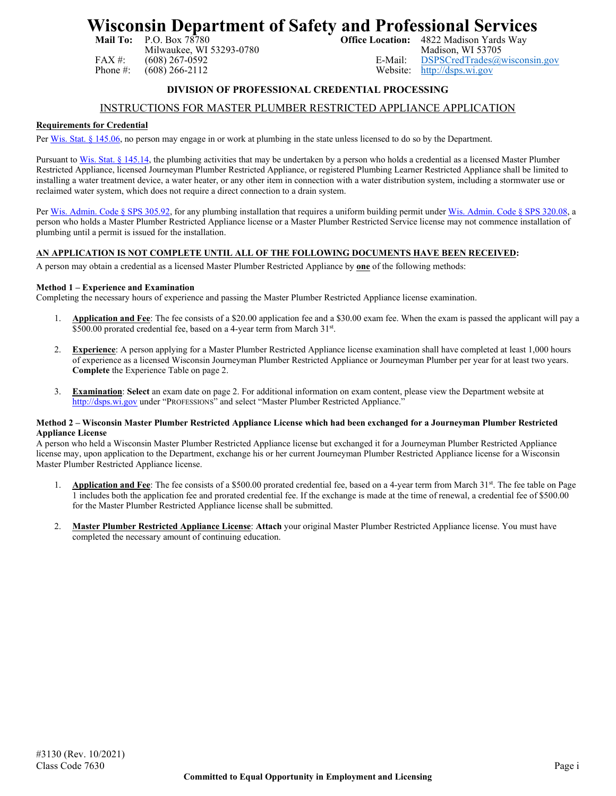# **Wisconsin Department of Safety and Professional Services**<br>Mail To: P.O. Box 78780<br>Office Location: 4822 Madison Yards Way

Milwaukee, WI 53293-0780

4822 Madison Yards Way<br>Madison, WI 53705 FAX #: (608) 267-0592 E-Mail: [DSPSCredTrades@wisconsin.gov](mailto:DSPSCredTrades@wisconsin.gov)<br>
Phone #: (608) 266-2112 Website: http://dsps.wi.gov [http://dsps.wi.gov](http://dsps.wi.gov/)

## **DIVISION OF PROFESSIONAL CREDENTIAL PROCESSING**

# INSTRUCTIONS FOR MASTER PLUMBER RESTRICTED APPLIANCE APPLICATION

### **Requirements for Credential**

Per [Wis. Stat. § 145.06,](http://docs.legis.wisconsin.gov/statutes/statutes/145/06) no person may engage in or work at plumbing in the state unless licensed to do so by the Department.

Pursuant to [Wis. Stat. § 145.14,](http://docs.legis.wisconsin.gov/statutes/statutes/145/14) the plumbing activities that may be undertaken by a person who holds a credential as a licensed Master Plumber Restricted Appliance, licensed Journeyman Plumber Restricted Appliance, or registered Plumbing Learner Restricted Appliance shall be limited to installing a water treatment device, a water heater, or any other item in connection with a water distribution system, including a stormwater use or reclaimed water system, which does not require a direct connection to a drain system.

Per [Wis. Admin. Code § SPS 305.92,](https://docs.legis.wisconsin.gov/code/admin_code/sps/safety_and_buildings_and_environment/301_319/305/IX/92) for any plumbing installation that requires a uniform building permit under [Wis. Admin. Code § SPS 320.08,](https://docs.legis.wisconsin.gov/code/admin_code/sps/safety_and_buildings_and_environment/320_325/320/IV/08) a person who holds a Master Plumber Restricted Appliance license or a Master Plumber Restricted Service license may not commence installation of plumbing until a permit is issued for the installation.

## **AN APPLICATION IS NOT COMPLETE UNTIL ALL OF THE FOLLOWING DOCUMENTS HAVE BEEN RECEIVED:**

A person may obtain a credential as a licensed Master Plumber Restricted Appliance by **one** of the following methods:

#### **Method 1 – Experience and Examination**

Completing the necessary hours of experience and passing the Master Plumber Restricted Appliance license examination.

- 1. **Application and Fee**: The fee consists of a \$20.00 application fee and a \$30.00 exam fee. When the exam is passed the applicant will pay a \$500.00 prorated credential fee, based on a 4-year term from March 31st.
- 2. **Experience**: A person applying for a Master Plumber Restricted Appliance license examination shall have completed at least 1,000 hours of experience as a licensed Wisconsin Journeyman Plumber Restricted Appliance or Journeyman Plumber per year for at least two years. **Complete** the Experience Table on page 2.
- 3. **Examination**: **Select** an exam date on page 2. For additional information on exam content, please view the Department website at [http://dsps.wi.gov](http://dsps.wi.gov/) under "PROFESSIONS" and select "Master Plumber Restricted Appliance."

#### **Method 2 – Wisconsin Master Plumber Restricted Appliance License which had been exchanged for a Journeyman Plumber Restricted Appliance License**

A person who held a Wisconsin Master Plumber Restricted Appliance license but exchanged it for a Journeyman Plumber Restricted Appliance license may, upon application to the Department, exchange his or her current Journeyman Plumber Restricted Appliance license for a Wisconsin Master Plumber Restricted Appliance license.

- 1. **Application and Fee**: The fee consists of a \$500.00 prorated credential fee, based on a 4-year term from March 31<sup>st</sup>. The fee table on Page 1 includes both the application fee and prorated credential fee. If the exchange is made at the time of renewal, a credential fee of \$500.00 for the Master Plumber Restricted Appliance license shall be submitted.
- 2. **Master Plumber Restricted Appliance License**: **Attach** your original Master Plumber Restricted Appliance license. You must have completed the necessary amount of continuing education.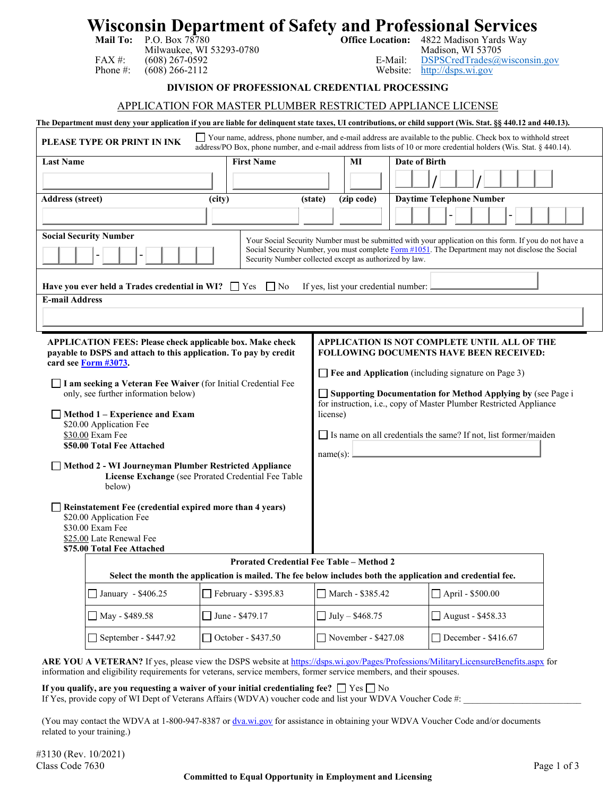# **Wisconsin Department of Safety and Professional Services**<br>Mail To: P.O. Box 78780<br>Office Location: 4822 Madison Yards Wav

Milwaukee, WI 53293-0780

**Office Location:** 4822 Madison Yards Way<br>Madison, WI 53705 FAX #: (608) 267-0592 E-Mail: [DSPSCredTrades@wisconsin.gov](mailto:DSPSCredTrades@wisconsin.gov)<br>
Phone #: (608) 266-2112 Website: http://dsps.wi.gov [http://dsps.wi.gov](http://dsps.wi.gov/)

**DIVISION OF PROFESSIONAL CREDENTIAL PROCESSING**

### APPLICATION FOR MASTER PLUMBER RESTRICTED APPLIANCE LICENSE

**The Department must deny your application if you are liable for delinquent state taxes, UI contributions, or child support (Wis. Stat. §§ 440.12 and 440.13). PLEASE TYPE OR PRINT IN INK** Your name, address, phone number, and e-mail address are available to the public. Check box to withhold street address/PO Box, phone number, and e-mail address from lists of 10 or more credential holders (Wis. Stat. § 440.14). **Last Name First Name MI Date of Birth / / Address (street) (city) (state) (zip code) Daytime Telephone Number** - - **Social Security Number** - - Your Social Security Number must be submitted with your application on this form. If you do not have a Social Security Number, you must complete Form [#1051.](https://dsps.wi.gov/Credentialing/Business/fm1051.pdf) The Department may not disclose the Social Security Number collected except as authorized by law. **Have you ever held a Trades credential in WI?**  $\Box$  Yes  $\Box$  No If yes, list your credential number: **E-mail Address APPLICATION FEES: Please check applicable box. Make check payable to DSPS and attach to this application. To pay by credit card se[e Form #3073.](https://dsps.wi.gov/Credentialing/Trades/fm3073.pdf) I am seeking a Veteran Fee Waiver** (for Initial Credential Fee only, see further information below) **Method 1 – Experience and Exam**  \$20.00 Application Fee \$30.00 Exam Fee **\$50.00 Total Fee Attached Method 2 - WI Journeyman Plumber Restricted Appliance License Exchange** (see Prorated Credential Fee Table below) **Reinstatement Fee (credential expired more than 4 years)** \$20.00 Application Fee \$30.00 Exam Fee \$25.00 Late Renewal Fee **\$75.00 Total Fee Attached APPLICATION IS NOT COMPLETE UNTIL ALL OF THE FOLLOWING DOCUMENTS HAVE BEEN RECEIVED: Fee and Application** (including signature on Page 3) **Supporting Documentation for Method Applying by** (see Page i for instruction, i.e., copy of Master Plumber Restricted Appliance license)  $\Box$  Is name on all credentials the same? If not, list former/maiden name(s): **Prorated Credential Fee Table – Method 2 Select the month the application is mailed. The fee below includes both the application and credential fee.**

 $\Box$  January - \$406.25  $\Box$  February - \$395.83  $\Box$  March - \$385.42  $\Box$  April - \$500.00  $\Box$  May - \$489.58  $\Box$  June - \$479.17  $\Box$  July – \$468.75  $\Box$  August - \$458.33 September - \$447.92 October - \$437.50 November - \$427.08 December - \$416.67

ARE YOU A VETERAN? If yes, please view the DSPS website a[t https://dsps.wi.gov/Pages/Professions/MilitaryLicensureBenefits.aspx](https://dsps.wi.gov/Pages/Professions/MilitaryLicensureBenefits.aspx) for information and eligibility requirements for veterans, service members, former service members, and their spouses.

**If you qualify, are you requesting a waiver of your initial credentialing fee?**  $\Box$  Yes  $\Box$  No

If Yes, provide copy of WI Dept of Veterans Affairs (WDVA) voucher code and list your WDVA Voucher Code #:

(You may contact the WDVA at 1-800-947-8387 or [dva.wi.gov](https://dva.wi.gov/Pages/Home.aspx) for assistance in obtaining your WDVA Voucher Code and/or documents related to your training.)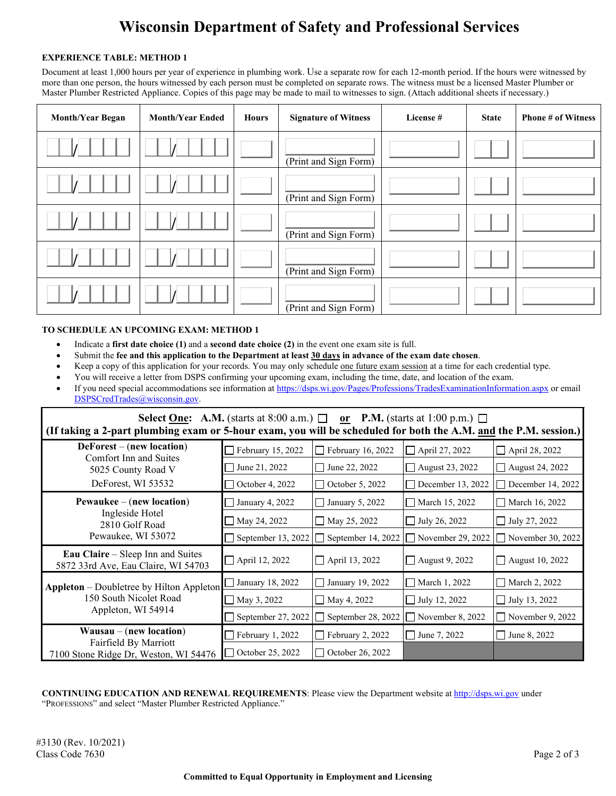# **Wisconsin Department of Safety and Professional Services**

#### **EXPERIENCE TABLE: METHOD 1**

Document at least 1,000 hours per year of experience in plumbing work. Use a separate row for each 12-month period. If the hours were witnessed by more than one person, the hours witnessed by each person must be completed on separate rows. The witness must be a licensed Master Plumber or Master Plumber Restricted Appliance. Copies of this page may be made to mail to witnesses to sign. (Attach additional sheets if necessary.)

| <b>Month/Year Began</b> | <b>Month/Year Ended</b> | <b>Hours</b> | <b>Signature of Witness</b> | License # | <b>State</b> | <b>Phone # of Witness</b> |
|-------------------------|-------------------------|--------------|-----------------------------|-----------|--------------|---------------------------|
|                         |                         |              | (Print and Sign Form)       |           |              |                           |
|                         |                         |              | (Print and Sign Form)       |           |              |                           |
|                         |                         |              | (Print and Sign Form)       |           |              |                           |
|                         |                         |              | (Print and Sign Form)       |           |              |                           |
|                         |                         |              | (Print and Sign Form)       |           |              |                           |

### **TO SCHEDULE AN UPCOMING EXAM: METHOD 1**

- Indicate a **first date choice (1)** and a **second date choice (2)** in the event one exam site is full.
- Submit the **fee and this application to the Department at least 30 days in advance of the exam date chosen**.
- Keep a copy of this application for your records. You may only schedule one future exam session at a time for each credential type.
- You will receive a letter from DSPS confirming your upcoming exam, including the time, date, and location of the exam.
- If you need special accommodations see information at<https://dsps.wi.gov/Pages/Professions/TradesExaminationInformation.aspx> or email [DSPSCredTrades@wisconsin.gov.](mailto:DSPSCredTrades@wisconsin.gov)

| Select One: A.M. (starts at 8:00 a.m.) $\Box$ or P.M. (starts at 1:00 p.m.) $\Box$<br>(If taking a 2-part plumbing exam or 5-hour exam, you will be scheduled for both the A.M. and the P.M. session.) |                           |                          |                          |                         |  |  |  |
|--------------------------------------------------------------------------------------------------------------------------------------------------------------------------------------------------------|---------------------------|--------------------------|--------------------------|-------------------------|--|--|--|
| $DeForest - (new location)$                                                                                                                                                                            | $\Box$ February 15, 2022  | $\Box$ February 16, 2022 | $\Box$ April 27, 2022    | April 28, 2022          |  |  |  |
| Comfort Inn and Suites<br>5025 County Road V                                                                                                                                                           | June 21, 2022             | $\Box$ June 22, 2022     | August 23, 2022          | August 24, 2022         |  |  |  |
| DeForest, WI 53532                                                                                                                                                                                     | $\Box$ October 4, 2022    | $\Box$ October 5, 2022   | December 13, 2022        | December 14, 2022       |  |  |  |
| $P$ ewaukee – (new location)                                                                                                                                                                           | January 4, 2022           | $\Box$ January 5, 2022   | March 15, 2022           | March 16, 2022          |  |  |  |
| Ingleside Hotel<br>2810 Golf Road                                                                                                                                                                      | May 24, 2022              | $\Box$ May 25, 2022      | $\Box$ July 26, 2022     | $\Box$ July 27, 2022    |  |  |  |
| Pewaukee, WI 53072                                                                                                                                                                                     | $\Box$ September 13, 2022 | September 14, 2022       | $\Box$ November 29, 2022 | November 30, 2022       |  |  |  |
| <b>Eau Claire</b> – Sleep Inn and Suites<br>5872 33rd Ave, Eau Claire, WI 54703                                                                                                                        | $\Box$ April 12, 2022     | $\Box$ April 13, 2022    | $\Box$ August 9, 2022    | $\Box$ August 10, 2022  |  |  |  |
| <b>Appleton</b> – Doubletree by Hilton Appleton                                                                                                                                                        | January 18, 2022          | $\Box$ January 19, 2022  | March 1, 2022            | □ March 2, 2022         |  |  |  |
| 150 South Nicolet Road                                                                                                                                                                                 | $\Box$ May 3, 2022        | $\Box$ May 4, 2022       | $\Box$ July 12, 2022     | $\Box$ July 13, 2022    |  |  |  |
| Appleton, WI 54914                                                                                                                                                                                     | September 27, 2022        | September 28, 2022       | $\Box$ November 8, 2022  | $\Box$ November 9, 2022 |  |  |  |
| $Wausau - (new location)$                                                                                                                                                                              | $\Box$ February 1, 2022   | $\Box$ February 2, 2022  | $\Box$ June 7, 2022      | $\Box$ June 8, 2022     |  |  |  |
| Fairfield By Marriott<br>7100 Stone Ridge Dr, Weston, WI 54476                                                                                                                                         | $\Box$ October 25, 2022   | $\Box$ October 26, 2022  |                          |                         |  |  |  |

**CONTINUING EDUCATION AND RENEWAL REQUIREMENTS**: Please view the Department website a[t http://dsps.wi.gov](http://dsps.wi.gov/) under "PROFESSIONS" and select "Master Plumber Restricted Appliance."